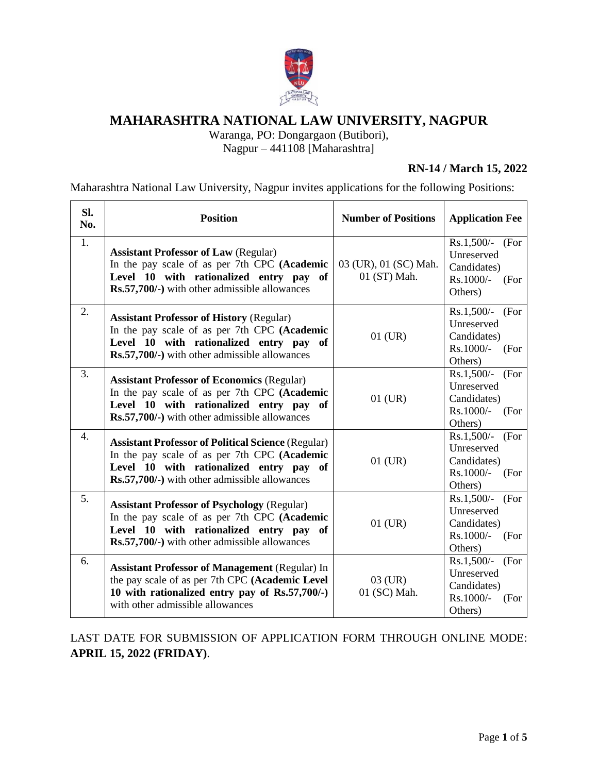

# **MAHARASHTRA NATIONAL LAW UNIVERSITY, NAGPUR**

Waranga, PO: Dongargaon (Butibori),

Nagpur – 441108 [Maharashtra]

## **RN-14 / March 15, 2022**

Maharashtra National Law University, Nagpur invites applications for the following Positions:

| SI.<br>No.       | <b>Position</b>                                                                                                                                                                                       | <b>Number of Positions</b>            | <b>Application Fee</b>                                                            |
|------------------|-------------------------------------------------------------------------------------------------------------------------------------------------------------------------------------------------------|---------------------------------------|-----------------------------------------------------------------------------------|
| 1.               | <b>Assistant Professor of Law (Regular)</b><br>In the pay scale of as per 7th CPC (Academic<br>Level 10 with rationalized entry pay of<br>Rs.57,700/-) with other admissible allowances               | 03 (UR), 01 (SC) Mah.<br>01 (ST) Mah. | $Rs.1,500/-$<br>(For<br>Unreserved<br>Candidates)<br>Rs.1000/-<br>(For<br>Others) |
| 2.               | <b>Assistant Professor of History (Regular)</b><br>In the pay scale of as per 7th CPC (Academic<br>Level 10 with rationalized entry pay of<br>Rs.57,700/-) with other admissible allowances           | $01$ (UR)                             | $Rs.1,500/-$<br>(For<br>Unreserved<br>Candidates)<br>Rs.1000/-<br>(For<br>Others) |
| 3.               | <b>Assistant Professor of Economics (Regular)</b><br>In the pay scale of as per 7th CPC (Academic<br>Level 10 with rationalized entry pay<br>of<br>Rs.57,700/-) with other admissible allowances      | $01$ (UR)                             | Rs.1,500/-<br>(For<br>Unreserved<br>Candidates)<br>Rs.1000/-<br>(For<br>Others)   |
| $\overline{4}$ . | <b>Assistant Professor of Political Science (Regular)</b><br>In the pay scale of as per 7th CPC (Academic<br>Level 10 with rationalized entry pay of<br>Rs.57,700/-) with other admissible allowances | $01$ (UR)                             | $Rs.1,500/-$<br>(For<br>Unreserved<br>Candidates)<br>Rs.1000/-<br>(For<br>Others) |
| 5.               | <b>Assistant Professor of Psychology (Regular)</b><br>In the pay scale of as per 7th CPC (Academic<br>Level 10 with rationalized entry pay of<br>Rs.57,700/-) with other admissible allowances        | $01$ (UR)                             | $Rs.1,500/-$<br>(For<br>Unreserved<br>Candidates)<br>Rs.1000/-<br>(For<br>Others) |
| 6.               | <b>Assistant Professor of Management (Regular) In</b><br>the pay scale of as per 7th CPC (Academic Level<br>10 with rationalized entry pay of Rs.57,700/-)<br>with other admissible allowances        | $03$ (UR)<br>01 (SC) Mah.             | $Rs.1,500/-$<br>(For<br>Unreserved<br>Candidates)<br>Rs.1000/-<br>(For<br>Others) |

LAST DATE FOR SUBMISSION OF APPLICATION FORM THROUGH ONLINE MODE: **APRIL 15, 2022 (FRIDAY)**.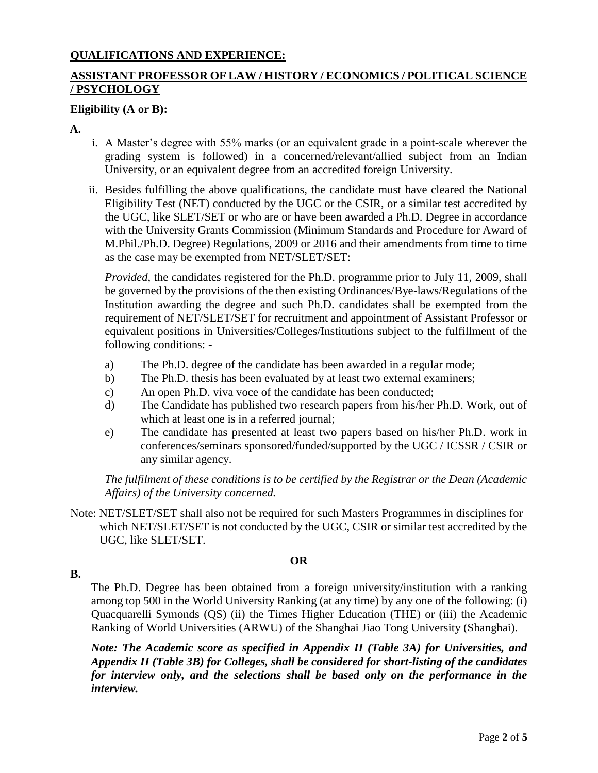## **QUALIFICATIONS AND EXPERIENCE:**

## **ASSISTANT PROFESSOR OF LAW / HISTORY / ECONOMICS / POLITICAL SCIENCE / PSYCHOLOGY**

#### **Eligibility (A or B):**

**A.**

- i. A Master's degree with 55% marks (or an equivalent grade in a point-scale wherever the grading system is followed) in a concerned/relevant/allied subject from an Indian University, or an equivalent degree from an accredited foreign University.
- ii. Besides fulfilling the above qualifications, the candidate must have cleared the National Eligibility Test (NET) conducted by the UGC or the CSIR, or a similar test accredited by the UGC, like SLET/SET or who are or have been awarded a Ph.D. Degree in accordance with the University Grants Commission (Minimum Standards and Procedure for Award of M.Phil./Ph.D. Degree) Regulations, 2009 or 2016 and their amendments from time to time as the case may be exempted from NET/SLET/SET:

*Provided*, the candidates registered for the Ph.D. programme prior to July 11, 2009, shall be governed by the provisions of the then existing Ordinances/Bye-laws/Regulations of the Institution awarding the degree and such Ph.D. candidates shall be exempted from the requirement of NET/SLET/SET for recruitment and appointment of Assistant Professor or equivalent positions in Universities/Colleges/Institutions subject to the fulfillment of the following conditions: -

- a) The Ph.D. degree of the candidate has been awarded in a regular mode;
- b) The Ph.D. thesis has been evaluated by at least two external examiners;
- c) An open Ph.D. viva voce of the candidate has been conducted;
- d) The Candidate has published two research papers from his/her Ph.D. Work, out of which at least one is in a referred journal;
- e) The candidate has presented at least two papers based on his/her Ph.D. work in conferences/seminars sponsored/funded/supported by the UGC / ICSSR / CSIR or any similar agency.

*The fulfilment of these conditions is to be certified by the Registrar or the Dean (Academic Affairs) of the University concerned.*

Note: NET/SLET/SET shall also not be required for such Masters Programmes in disciplines for which NET/SLET/SET is not conducted by the UGC, CSIR or similar test accredited by the UGC, like SLET/SET.

#### **OR**

**B.**

The Ph.D. Degree has been obtained from a foreign university/institution with a ranking among top 500 in the World University Ranking (at any time) by any one of the following: (i) Quacquarelli Symonds (QS) (ii) the Times Higher Education (THE) or (iii) the Academic Ranking of World Universities (ARWU) of the Shanghai Jiao Tong University (Shanghai).

*Note: The Academic score as specified in Appendix II (Table 3A) for Universities, and Appendix II (Table 3B) for Colleges, shall be considered for short-listing of the candidates for interview only, and the selections shall be based only on the performance in the interview.*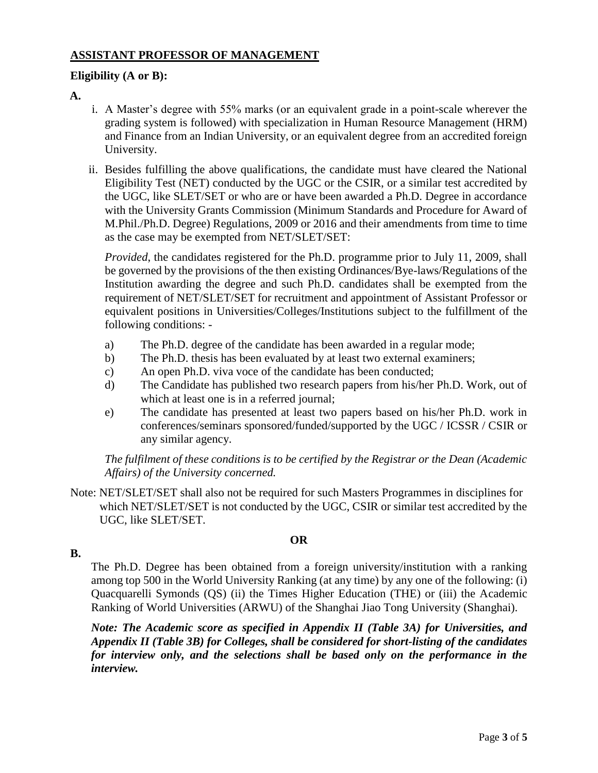## **ASSISTANT PROFESSOR OF MANAGEMENT**

## **Eligibility (A or B):**

## **A.**

- i. A Master's degree with 55% marks (or an equivalent grade in a point-scale wherever the grading system is followed) with specialization in Human Resource Management (HRM) and Finance from an Indian University, or an equivalent degree from an accredited foreign University.
- ii. Besides fulfilling the above qualifications, the candidate must have cleared the National Eligibility Test (NET) conducted by the UGC or the CSIR, or a similar test accredited by the UGC, like SLET/SET or who are or have been awarded a Ph.D. Degree in accordance with the University Grants Commission (Minimum Standards and Procedure for Award of M.Phil./Ph.D. Degree) Regulations, 2009 or 2016 and their amendments from time to time as the case may be exempted from NET/SLET/SET:

*Provided*, the candidates registered for the Ph.D. programme prior to July 11, 2009, shall be governed by the provisions of the then existing Ordinances/Bye-laws/Regulations of the Institution awarding the degree and such Ph.D. candidates shall be exempted from the requirement of NET/SLET/SET for recruitment and appointment of Assistant Professor or equivalent positions in Universities/Colleges/Institutions subject to the fulfillment of the following conditions: -

- a) The Ph.D. degree of the candidate has been awarded in a regular mode;
- b) The Ph.D. thesis has been evaluated by at least two external examiners;
- c) An open Ph.D. viva voce of the candidate has been conducted;
- d) The Candidate has published two research papers from his/her Ph.D. Work, out of which at least one is in a referred journal;
- e) The candidate has presented at least two papers based on his/her Ph.D. work in conferences/seminars sponsored/funded/supported by the UGC / ICSSR / CSIR or any similar agency.

*The fulfilment of these conditions is to be certified by the Registrar or the Dean (Academic Affairs) of the University concerned.*

Note: NET/SLET/SET shall also not be required for such Masters Programmes in disciplines for which NET/SLET/SET is not conducted by the UGC, CSIR or similar test accredited by the UGC, like SLET/SET.

#### **OR**

#### **B.**

The Ph.D. Degree has been obtained from a foreign university/institution with a ranking among top 500 in the World University Ranking (at any time) by any one of the following: (i) Quacquarelli Symonds (QS) (ii) the Times Higher Education (THE) or (iii) the Academic Ranking of World Universities (ARWU) of the Shanghai Jiao Tong University (Shanghai).

*Note: The Academic score as specified in Appendix II (Table 3A) for Universities, and Appendix II (Table 3B) for Colleges, shall be considered for short-listing of the candidates for interview only, and the selections shall be based only on the performance in the interview.*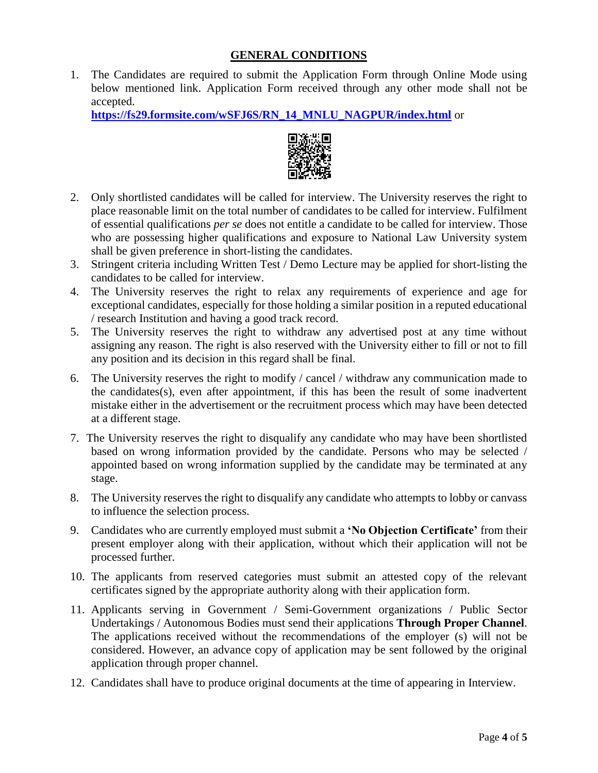#### **GENERAL CONDITIONS**

1. The Candidates are required to submit the Application Form through Online Mode using below mentioned link. Application Form received through any other mode shall not be accepted.

**[https://fs29.formsite.com/wSFJ6S/RN\\_14\\_MNLU\\_NAGPUR/index.html](https://fs29.formsite.com/wSFJ6S/RN_14_MNLU_NAGPUR/index.html)** or



- 2. Only shortlisted candidates will be called for interview. The University reserves the right to place reasonable limit on the total number of candidates to be called for interview. Fulfilment of essential qualifications *per se* does not entitle a candidate to be called for interview. Those who are possessing higher qualifications and exposure to National Law University system shall be given preference in short-listing the candidates.
- 3. Stringent criteria including Written Test / Demo Lecture may be applied for short-listing the candidates to be called for interview.
- 4. The University reserves the right to relax any requirements of experience and age for exceptional candidates, especially for those holding a similar position in a reputed educational / research Institution and having a good track record.
- 5. The University reserves the right to withdraw any advertised post at any time without assigning any reason. The right is also reserved with the University either to fill or not to fill any position and its decision in this regard shall be final.
- 6. The University reserves the right to modify / cancel / withdraw any communication made to the candidates(s), even after appointment, if this has been the result of some inadvertent mistake either in the advertisement or the recruitment process which may have been detected at a different stage.
- 7. The University reserves the right to disqualify any candidate who may have been shortlisted based on wrong information provided by the candidate. Persons who may be selected / appointed based on wrong information supplied by the candidate may be terminated at any stage.
- 8. The University reserves the right to disqualify any candidate who attempts to lobby or canvass to influence the selection process.
- 9. Candidates who are currently employed must submit a **'No Objection Certificate'** from their present employer along with their application, without which their application will not be processed further.
- 10. The applicants from reserved categories must submit an attested copy of the relevant certificates signed by the appropriate authority along with their application form.
- 11. Applicants serving in Government / Semi-Government organizations / Public Sector Undertakings / Autonomous Bodies must send their applications **Through Proper Channel**. The applications received without the recommendations of the employer (s) will not be considered. However, an advance copy of application may be sent followed by the original application through proper channel.
- 12. Candidates shall have to produce original documents at the time of appearing in Interview.